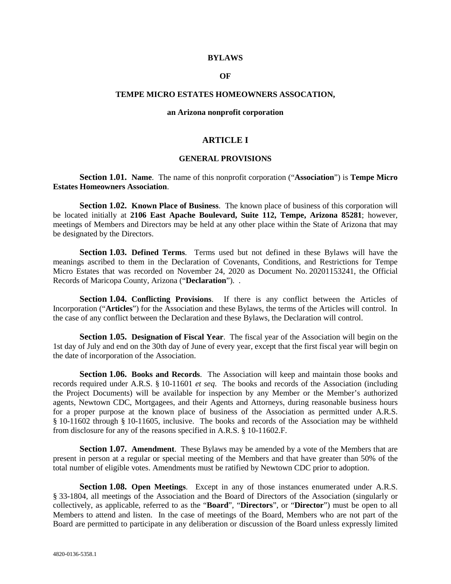#### **BYLAWS**

#### **OF**

### **TEMPE MICRO ESTATES HOMEOWNERS ASSOCATION,**

#### **an Arizona nonprofit corporation**

# **ARTICLE I**

#### **GENERAL PROVISIONS**

**Section 1.01. Name**. The name of this nonprofit corporation ("**Association**") is **Tempe Micro Estates Homeowners Association**.

**Section 1.02. Known Place of Business.** The known place of business of this corporation will be located initially at **2106 East Apache Boulevard, Suite 112, Tempe, Arizona 85281**; however, meetings of Members and Directors may be held at any other place within the State of Arizona that may be designated by the Directors.

**Section 1.03. Defined Terms**. Terms used but not defined in these Bylaws will have the meanings ascribed to them in the Declaration of Covenants, Conditions, and Restrictions for Tempe Micro Estates that was recorded on November 24, 2020 as Document No. 20201153241, the Official Records of Maricopa County, Arizona ("**Declaration**"). .

**Section 1.04. Conflicting Provisions**. If there is any conflict between the Articles of Incorporation ("**Articles**") for the Association and these Bylaws, the terms of the Articles will control. In the case of any conflict between the Declaration and these Bylaws, the Declaration will control.

**Section 1.05. Designation of Fiscal Year**. The fiscal year of the Association will begin on the 1st day of July and end on the 30th day of June of every year, except that the first fiscal year will begin on the date of incorporation of the Association.

**Section 1.06. Books and Records**. The Association will keep and maintain those books and records required under A.R.S. § 10-11601 *et seq*. The books and records of the Association (including the Project Documents) will be available for inspection by any Member or the Member's authorized agents, Newtown CDC, Mortgagees, and their Agents and Attorneys, during reasonable business hours for a proper purpose at the known place of business of the Association as permitted under A.R.S. § 10-11602 through § 10-11605, inclusive. The books and records of the Association may be withheld from disclosure for any of the reasons specified in A.R.S. § 10-11602.F.

**Section 1.07. Amendment**. These Bylaws may be amended by a vote of the Members that are present in person at a regular or special meeting of the Members and that have greater than 50% of the total number of eligible votes. Amendments must be ratified by Newtown CDC prior to adoption.

**Section 1.08. Open Meetings**. Except in any of those instances enumerated under A.R.S. § 33-1804, all meetings of the Association and the Board of Directors of the Association (singularly or collectively, as applicable, referred to as the "**Board**", "**Directors**", or "**Director**") must be open to all Members to attend and listen. In the case of meetings of the Board, Members who are not part of the Board are permitted to participate in any deliberation or discussion of the Board unless expressly limited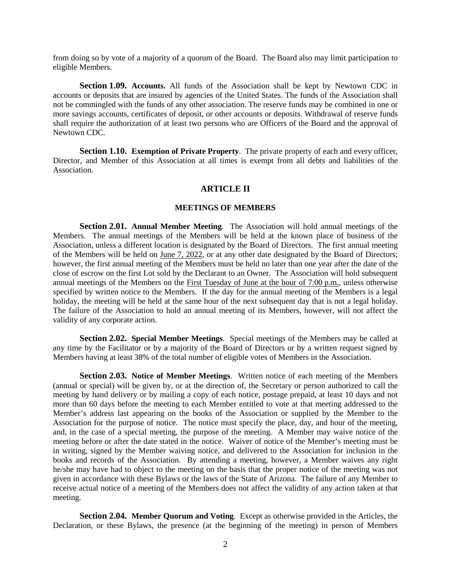from doing so by vote of a majority of a quorum of the Board. The Board also may limit participation to eligible Members.

**Section 1.09. Accounts.** All funds of the Association shall be kept by Newtown CDC in accounts or deposits that are insured by agencies of the United States. The funds of the Association shall not be commingled with the funds of any other association. The reserve funds may be combined in one or more savings accounts, certificates of deposit, or other accounts or deposits. Withdrawal of reserve funds shall require the authorization of at least two persons who are Officers of the Board and the approval of Newtown CDC.

**Section 1.10. Exemption of Private Property**. The private property of each and every officer, Director, and Member of this Association at all times is exempt from all debts and liabilities of the Association.

# **ARTICLE II**

### **MEETINGS OF MEMBERS**

**Section 2.01. Annual Member Meeting**. The Association will hold annual meetings of the Members. The annual meetings of the Members will be held at the known place of business of the Association, unless a different location is designated by the Board of Directors. The first annual meeting of the Members will be held on June 7, 2022, or at any other date designated by the Board of Directors; however, the first annual meeting of the Members must be held no later than one year after the date of the close of escrow on the first Lot sold by the Declarant to an Owner. The Association will hold subsequent annual meetings of the Members on the First Tuesday of June at the hour of 7:00 p.m., unless otherwise specified by written notice to the Members. If the day for the annual meeting of the Members is a legal holiday, the meeting will be held at the same hour of the next subsequent day that is not a legal holiday. The failure of the Association to hold an annual meeting of its Members, however, will not affect the validity of any corporate action.

**Section 2.02. Special Member Meetings**. Special meetings of the Members may be called at any time by the Facilitator or by a majority of the Board of Directors or by a written request signed by Members having at least 38% of the total number of eligible votes of Members in the Association.

**Section 2.03. Notice of Member Meetings.** Written notice of each meeting of the Members (annual or special) will be given by, or at the direction of, the Secretary or person authorized to call the meeting by hand delivery or by mailing a copy of each notice, postage prepaid, at least 10 days and not more than 60 days before the meeting to each Member entitled to vote at that meeting addressed to the Member's address last appearing on the books of the Association or supplied by the Member to the Association for the purpose of notice. The notice must specify the place, day, and hour of the meeting, and, in the case of a special meeting, the purpose of the meeting. A Member may waive notice of the meeting before or after the date stated in the notice. Waiver of notice of the Member's meeting must be in writing, signed by the Member waiving notice, and delivered to the Association for inclusion in the books and records of the Association. By attending a meeting, however, a Member waives any right he/she may have had to object to the meeting on the basis that the proper notice of the meeting was not given in accordance with these Bylaws or the laws of the State of Arizona. The failure of any Member to receive actual notice of a meeting of the Members does not affect the validity of any action taken at that meeting.

**Section 2.04. Member Quorum and Voting**. Except as otherwise provided in the Articles, the Declaration, or these Bylaws, the presence (at the beginning of the meeting) in person of Members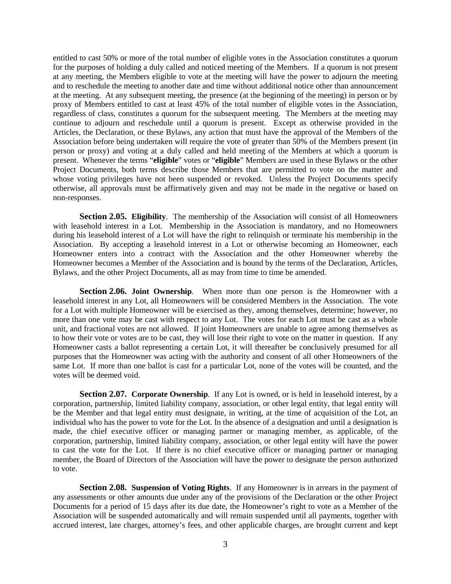entitled to cast 50% or more of the total number of eligible votes in the Association constitutes a quorum for the purposes of holding a duly called and noticed meeting of the Members. If a quorum is not present at any meeting, the Members eligible to vote at the meeting will have the power to adjourn the meeting and to reschedule the meeting to another date and time without additional notice other than announcement at the meeting. At any subsequent meeting, the presence (at the beginning of the meeting) in person or by proxy of Members entitled to cast at least 45% of the total number of eligible votes in the Association, regardless of class, constitutes a quorum for the subsequent meeting. The Members at the meeting may continue to adjourn and reschedule until a quorum is present. Except as otherwise provided in the Articles, the Declaration, or these Bylaws, any action that must have the approval of the Members of the Association before being undertaken will require the vote of greater than 50% of the Members present (in person or proxy) and voting at a duly called and held meeting of the Members at which a quorum is present. Whenever the terms "**eligible**" votes or "**eligible**" Members are used in these Bylaws or the other Project Documents, both terms describe those Members that are permitted to vote on the matter and whose voting privileges have not been suspended or revoked. Unless the Project Documents specify otherwise, all approvals must be affirmatively given and may not be made in the negative or based on non-responses.

**Section 2.05. Eligibility**. The membership of the Association will consist of all Homeowners with leasehold interest in a Lot. Membership in the Association is mandatory, and no Homeowners during his leasehold interest of a Lot will have the right to relinquish or terminate his membership in the Association. By accepting a leasehold interest in a Lot or otherwise becoming an Homeowner, each Homeowner enters into a contract with the Association and the other Homeowner whereby the Homeowner becomes a Member of the Association and is bound by the terms of the Declaration, Articles, Bylaws, and the other Project Documents, all as may from time to time be amended.

**Section 2.06. Joint Ownership.** When more than one person is the Homeowner with a leasehold interest in any Lot, all Homeowners will be considered Members in the Association. The vote for a Lot with multiple Homeowner will be exercised as they, among themselves, determine; however, no more than one vote may be cast with respect to any Lot. The votes for each Lot must be cast as a whole unit, and fractional votes are not allowed. If joint Homeowners are unable to agree among themselves as to how their vote or votes are to be cast, they will lose their right to vote on the matter in question. If any Homeowner casts a ballot representing a certain Lot, it will thereafter be conclusively presumed for all purposes that the Homeowner was acting with the authority and consent of all other Homeowners of the same Lot. If more than one ballot is cast for a particular Lot, none of the votes will be counted, and the votes will be deemed void.

**Section 2.07. Corporate Ownership**. If any Lot is owned, or is held in leasehold interest, by a corporation, partnership, limited liability company, association, or other legal entity, that legal entity will be the Member and that legal entity must designate, in writing, at the time of acquisition of the Lot, an individual who has the power to vote for the Lot. In the absence of a designation and until a designation is made, the chief executive officer or managing partner or managing member, as applicable, of the corporation, partnership, limited liability company, association, or other legal entity will have the power to cast the vote for the Lot. If there is no chief executive officer or managing partner or managing member, the Board of Directors of the Association will have the power to designate the person authorized to vote.

**Section 2.08. Suspension of Voting Rights**. If any Homeowner is in arrears in the payment of any assessments or other amounts due under any of the provisions of the Declaration or the other Project Documents for a period of 15 days after its due date, the Homeowner's right to vote as a Member of the Association will be suspended automatically and will remain suspended until all payments, together with accrued interest, late charges, attorney's fees, and other applicable charges, are brought current and kept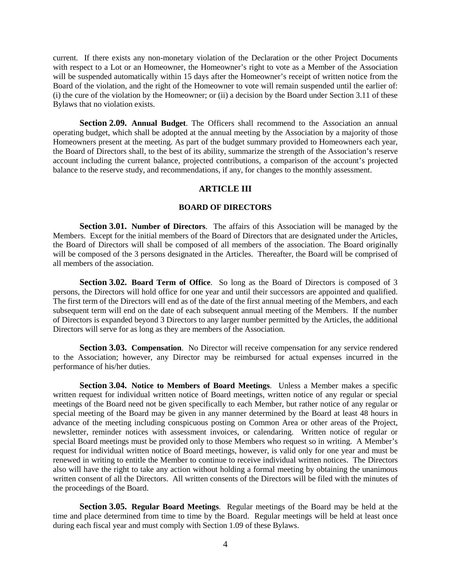current. If there exists any non-monetary violation of the Declaration or the other Project Documents with respect to a Lot or an Homeowner, the Homeowner's right to vote as a Member of the Association will be suspended automatically within 15 days after the Homeowner's receipt of written notice from the Board of the violation, and the right of the Homeowner to vote will remain suspended until the earlier of: (i) the cure of the violation by the Homeowner; or (ii) a decision by the Board under Section 3.11 of these Bylaws that no violation exists.

**Section 2.09. Annual Budget**. The Officers shall recommend to the Association an annual operating budget, which shall be adopted at the annual meeting by the Association by a majority of those Homeowners present at the meeting. As part of the budget summary provided to Homeowners each year, the Board of Directors shall, to the best of its ability, summarize the strength of the Association's reserve account including the current balance, projected contributions, a comparison of the account's projected balance to the reserve study, and recommendations, if any, for changes to the monthly assessment.

# **ARTICLE III**

## **BOARD OF DIRECTORS**

**Section 3.01. Number of Directors**. The affairs of this Association will be managed by the Members. Except for the initial members of the Board of Directors that are designated under the Articles, the Board of Directors will shall be composed of all members of the association. The Board originally will be composed of the 3 persons designated in the Articles. Thereafter, the Board will be comprised of all members of the association.

**Section 3.02. Board Term of Office.** So long as the Board of Directors is composed of 3 persons, the Directors will hold office for one year and until their successors are appointed and qualified. The first term of the Directors will end as of the date of the first annual meeting of the Members, and each subsequent term will end on the date of each subsequent annual meeting of the Members. If the number of Directors is expanded beyond 3 Directors to any larger number permitted by the Articles, the additional Directors will serve for as long as they are members of the Association.

**Section 3.03. Compensation.** No Director will receive compensation for any service rendered to the Association; however, any Director may be reimbursed for actual expenses incurred in the performance of his/her duties.

**Section 3.04. Notice to Members of Board Meetings**. Unless a Member makes a specific written request for individual written notice of Board meetings, written notice of any regular or special meetings of the Board need not be given specifically to each Member, but rather notice of any regular or special meeting of the Board may be given in any manner determined by the Board at least 48 hours in advance of the meeting including conspicuous posting on Common Area or other areas of the Project, newsletter, reminder notices with assessment invoices, or calendaring. Written notice of regular or special Board meetings must be provided only to those Members who request so in writing. A Member's request for individual written notice of Board meetings, however, is valid only for one year and must be renewed in writing to entitle the Member to continue to receive individual written notices. The Directors also will have the right to take any action without holding a formal meeting by obtaining the unanimous written consent of all the Directors. All written consents of the Directors will be filed with the minutes of the proceedings of the Board.

**Section 3.05. Regular Board Meetings**. Regular meetings of the Board may be held at the time and place determined from time to time by the Board. Regular meetings will be held at least once during each fiscal year and must comply with Section 1.09 of these Bylaws.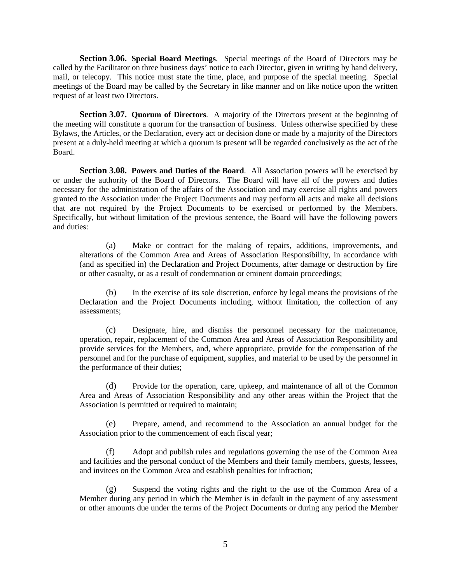**Section 3.06. Special Board Meetings**. Special meetings of the Board of Directors may be called by the Facilitator on three business days' notice to each Director, given in writing by hand delivery, mail, or telecopy. This notice must state the time, place, and purpose of the special meeting. Special meetings of the Board may be called by the Secretary in like manner and on like notice upon the written request of at least two Directors.

**Section 3.07. Quorum of Directors**. A majority of the Directors present at the beginning of the meeting will constitute a quorum for the transaction of business. Unless otherwise specified by these Bylaws, the Articles, or the Declaration, every act or decision done or made by a majority of the Directors present at a duly-held meeting at which a quorum is present will be regarded conclusively as the act of the Board.

**Section 3.08. Powers and Duties of the Board.** All Association powers will be exercised by or under the authority of the Board of Directors. The Board will have all of the powers and duties necessary for the administration of the affairs of the Association and may exercise all rights and powers granted to the Association under the Project Documents and may perform all acts and make all decisions that are not required by the Project Documents to be exercised or performed by the Members. Specifically, but without limitation of the previous sentence, the Board will have the following powers and duties:

(a) Make or contract for the making of repairs, additions, improvements, and alterations of the Common Area and Areas of Association Responsibility, in accordance with (and as specified in) the Declaration and Project Documents, after damage or destruction by fire or other casualty, or as a result of condemnation or eminent domain proceedings;

(b) In the exercise of its sole discretion, enforce by legal means the provisions of the Declaration and the Project Documents including, without limitation, the collection of any assessments;

(c) Designate, hire, and dismiss the personnel necessary for the maintenance, operation, repair, replacement of the Common Area and Areas of Association Responsibility and provide services for the Members, and, where appropriate, provide for the compensation of the personnel and for the purchase of equipment, supplies, and material to be used by the personnel in the performance of their duties;

(d) Provide for the operation, care, upkeep, and maintenance of all of the Common Area and Areas of Association Responsibility and any other areas within the Project that the Association is permitted or required to maintain;

(e) Prepare, amend, and recommend to the Association an annual budget for the Association prior to the commencement of each fiscal year;

(f) Adopt and publish rules and regulations governing the use of the Common Area and facilities and the personal conduct of the Members and their family members, guests, lessees, and invitees on the Common Area and establish penalties for infraction;

(g) Suspend the voting rights and the right to the use of the Common Area of a Member during any period in which the Member is in default in the payment of any assessment or other amounts due under the terms of the Project Documents or during any period the Member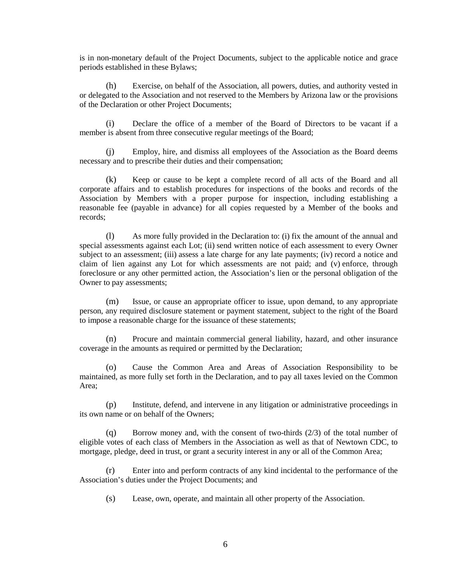is in non-monetary default of the Project Documents, subject to the applicable notice and grace periods established in these Bylaws;

(h) Exercise, on behalf of the Association, all powers, duties, and authority vested in or delegated to the Association and not reserved to the Members by Arizona law or the provisions of the Declaration or other Project Documents;

(i) Declare the office of a member of the Board of Directors to be vacant if a member is absent from three consecutive regular meetings of the Board;

(j) Employ, hire, and dismiss all employees of the Association as the Board deems necessary and to prescribe their duties and their compensation;

(k) Keep or cause to be kept a complete record of all acts of the Board and all corporate affairs and to establish procedures for inspections of the books and records of the Association by Members with a proper purpose for inspection, including establishing a reasonable fee (payable in advance) for all copies requested by a Member of the books and records;

(l) As more fully provided in the Declaration to: (i) fix the amount of the annual and special assessments against each Lot; (ii) send written notice of each assessment to every Owner subject to an assessment; (iii) assess a late charge for any late payments; (iv) record a notice and claim of lien against any Lot for which assessments are not paid; and (v) enforce, through foreclosure or any other permitted action, the Association's lien or the personal obligation of the Owner to pay assessments;

(m) Issue, or cause an appropriate officer to issue, upon demand, to any appropriate person, any required disclosure statement or payment statement, subject to the right of the Board to impose a reasonable charge for the issuance of these statements;

(n) Procure and maintain commercial general liability, hazard, and other insurance coverage in the amounts as required or permitted by the Declaration;

(o) Cause the Common Area and Areas of Association Responsibility to be maintained, as more fully set forth in the Declaration, and to pay all taxes levied on the Common Area;

(p) Institute, defend, and intervene in any litigation or administrative proceedings in its own name or on behalf of the Owners;

(q) Borrow money and, with the consent of two-thirds  $(2/3)$  of the total number of eligible votes of each class of Members in the Association as well as that of Newtown CDC, to mortgage, pledge, deed in trust, or grant a security interest in any or all of the Common Area;

(r) Enter into and perform contracts of any kind incidental to the performance of the Association's duties under the Project Documents; and

(s) Lease, own, operate, and maintain all other property of the Association.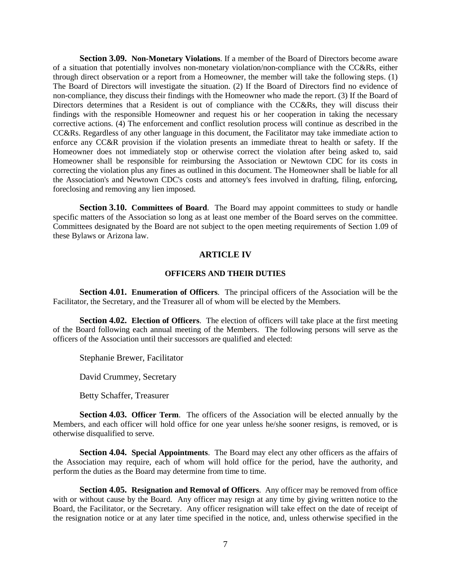**Section 3.09. Non-Monetary Violations**. If a member of the Board of Directors become aware of a situation that potentially involves non-monetary violation/non-compliance with the CC&Rs, either through direct observation or a report from a Homeowner, the member will take the following steps. (1) The Board of Directors will investigate the situation. (2) If the Board of Directors find no evidence of non-compliance, they discuss their findings with the Homeowner who made the report. (3) If the Board of Directors determines that a Resident is out of compliance with the CC&Rs, they will discuss their findings with the responsible Homeowner and request his or her cooperation in taking the necessary corrective actions. (4) The enforcement and conflict resolution process will continue as described in the CC&Rs. Regardless of any other language in this document, the Facilitator may take immediate action to enforce any CC&R provision if the violation presents an immediate threat to health or safety. If the Homeowner does not immediately stop or otherwise correct the violation after being asked to, said Homeowner shall be responsible for reimbursing the Association or Newtown CDC for its costs in correcting the violation plus any fines as outlined in this document. The Homeowner shall be liable for all the Association's and Newtown CDC's costs and attorney's fees involved in drafting, filing, enforcing, foreclosing and removing any lien imposed.

**Section 3.10. Committees of Board**. The Board may appoint committees to study or handle specific matters of the Association so long as at least one member of the Board serves on the committee. Committees designated by the Board are not subject to the open meeting requirements of Section 1.09 of these Bylaws or Arizona law.

# **ARTICLE IV**

# **OFFICERS AND THEIR DUTIES**

**Section 4.01. Enumeration of Officers**. The principal officers of the Association will be the Facilitator, the Secretary, and the Treasurer all of whom will be elected by the Members.

**Section 4.02. Election of Officers**. The election of officers will take place at the first meeting of the Board following each annual meeting of the Members. The following persons will serve as the officers of the Association until their successors are qualified and elected:

Stephanie Brewer, Facilitator

David Crummey, Secretary

Betty Schaffer, Treasurer

**Section 4.03. Officer Term.** The officers of the Association will be elected annually by the Members, and each officer will hold office for one year unless he/she sooner resigns, is removed, or is otherwise disqualified to serve.

**Section 4.04. Special Appointments**. The Board may elect any other officers as the affairs of the Association may require, each of whom will hold office for the period, have the authority, and perform the duties as the Board may determine from time to time.

**Section 4.05. Resignation and Removal of Officers.** Any officer may be removed from office with or without cause by the Board. Any officer may resign at any time by giving written notice to the Board, the Facilitator, or the Secretary. Any officer resignation will take effect on the date of receipt of the resignation notice or at any later time specified in the notice, and, unless otherwise specified in the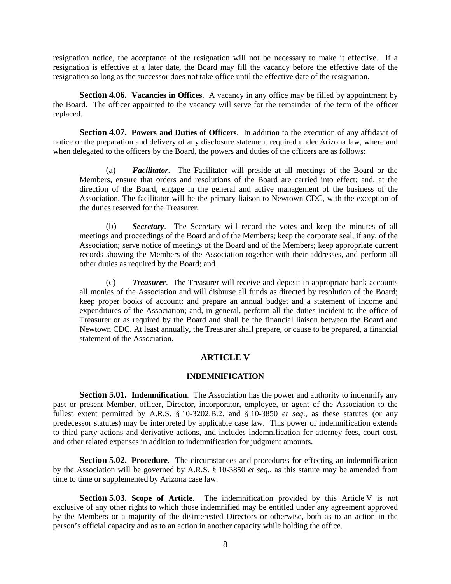resignation notice, the acceptance of the resignation will not be necessary to make it effective. If a resignation is effective at a later date, the Board may fill the vacancy before the effective date of the resignation so long as the successor does not take office until the effective date of the resignation.

**Section 4.06. Vacancies in Offices.** A vacancy in any office may be filled by appointment by the Board. The officer appointed to the vacancy will serve for the remainder of the term of the officer replaced.

**Section 4.07. Powers and Duties of Officers.** In addition to the execution of any affidavit of notice or the preparation and delivery of any disclosure statement required under Arizona law, where and when delegated to the officers by the Board, the powers and duties of the officers are as follows:

(a) *Facilitator*. The Facilitator will preside at all meetings of the Board or the Members, ensure that orders and resolutions of the Board are carried into effect; and, at the direction of the Board, engage in the general and active management of the business of the Association. The facilitator will be the primary liaison to Newtown CDC, with the exception of the duties reserved for the Treasurer;

(b) *Secretary*. The Secretary will record the votes and keep the minutes of all meetings and proceedings of the Board and of the Members; keep the corporate seal, if any, of the Association; serve notice of meetings of the Board and of the Members; keep appropriate current records showing the Members of the Association together with their addresses, and perform all other duties as required by the Board; and

(c) *Treasurer*. The Treasurer will receive and deposit in appropriate bank accounts all monies of the Association and will disburse all funds as directed by resolution of the Board; keep proper books of account; and prepare an annual budget and a statement of income and expenditures of the Association; and, in general, perform all the duties incident to the office of Treasurer or as required by the Board and shall be the financial liaison between the Board and Newtown CDC. At least annually, the Treasurer shall prepare, or cause to be prepared, a financial statement of the Association.

# **ARTICLE V**

## **INDEMNIFICATION**

**Section 5.01. Indemnification.** The Association has the power and authority to indemnify any past or present Member, officer, Director, incorporator, employee, or agent of the Association to the fullest extent permitted by A.R.S. § 10-3202.B.2. and § 10-3850 *et seq*., as these statutes (or any predecessor statutes) may be interpreted by applicable case law. This power of indemnification extends to third party actions and derivative actions, and includes indemnification for attorney fees, court cost, and other related expenses in addition to indemnification for judgment amounts.

**Section 5.02. Procedure**. The circumstances and procedures for effecting an indemnification by the Association will be governed by A.R.S. § 10-3850 *et seq.*, as this statute may be amended from time to time or supplemented by Arizona case law.

**Section 5.03. Scope of Article**. The indemnification provided by this Article V is not exclusive of any other rights to which those indemnified may be entitled under any agreement approved by the Members or a majority of the disinterested Directors or otherwise, both as to an action in the person's official capacity and as to an action in another capacity while holding the office.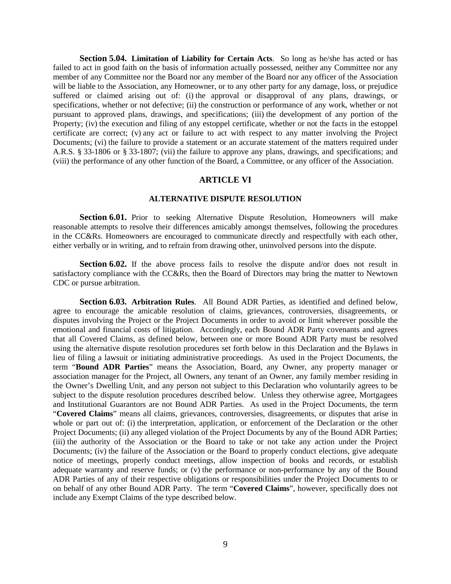**Section 5.04. Limitation of Liability for Certain Acts**. So long as he/she has acted or has failed to act in good faith on the basis of information actually possessed, neither any Committee nor any member of any Committee nor the Board nor any member of the Board nor any officer of the Association will be liable to the Association, any Homeowner, or to any other party for any damage, loss, or prejudice suffered or claimed arising out of: (i) the approval or disapproval of any plans, drawings, or specifications, whether or not defective; (ii) the construction or performance of any work, whether or not pursuant to approved plans, drawings, and specifications; (iii) the development of any portion of the Property; (iv) the execution and filing of any estoppel certificate, whether or not the facts in the estoppel certificate are correct; (v) any act or failure to act with respect to any matter involving the Project Documents; (vi) the failure to provide a statement or an accurate statement of the matters required under A.R.S. § 33-1806 or § 33-1807; (vii) the failure to approve any plans, drawings, and specifications; and (viii) the performance of any other function of the Board, a Committee, or any officer of the Association.

# **ARTICLE VI**

#### **ALTERNATIVE DISPUTE RESOLUTION**

**Section 6.01.** Prior to seeking Alternative Dispute Resolution, Homeowners will make reasonable attempts to resolve their differences amicably amongst themselves, following the procedures in the CC&Rs. Homeowners are encouraged to communicate directly and respectfully with each other, either verbally or in writing, and to refrain from drawing other, uninvolved persons into the dispute.

**Section 6.02.** If the above process fails to resolve the dispute and/or does not result in satisfactory compliance with the CC&Rs, then the Board of Directors may bring the matter to Newtown CDC or pursue arbitration.

**Section 6.03. Arbitration Rules**. All Bound ADR Parties, as identified and defined below, agree to encourage the amicable resolution of claims, grievances, controversies, disagreements, or disputes involving the Project or the Project Documents in order to avoid or limit wherever possible the emotional and financial costs of litigation. Accordingly, each Bound ADR Party covenants and agrees that all Covered Claims, as defined below, between one or more Bound ADR Party must be resolved using the alternative dispute resolution procedures set forth below in this Declaration and the Bylaws in lieu of filing a lawsuit or initiating administrative proceedings. As used in the Project Documents, the term "**Bound ADR Parties**" means the Association, Board, any Owner, any property manager or association manager for the Project, all Owners, any tenant of an Owner, any family member residing in the Owner's Dwelling Unit, and any person not subject to this Declaration who voluntarily agrees to be subject to the dispute resolution procedures described below. Unless they otherwise agree, Mortgagees and Institutional Guarantors are not Bound ADR Parties. As used in the Project Documents, the term "**Covered Claims**" means all claims, grievances, controversies, disagreements, or disputes that arise in whole or part out of: (i) the interpretation, application, or enforcement of the Declaration or the other Project Documents; (ii) any alleged violation of the Project Documents by any of the Bound ADR Parties; (iii) the authority of the Association or the Board to take or not take any action under the Project Documents; (iv) the failure of the Association or the Board to properly conduct elections, give adequate notice of meetings, properly conduct meetings, allow inspection of books and records, or establish adequate warranty and reserve funds; or (v) the performance or non-performance by any of the Bound ADR Parties of any of their respective obligations or responsibilities under the Project Documents to or on behalf of any other Bound ADR Party. The term "**Covered Claims**", however, specifically does not include any Exempt Claims of the type described below.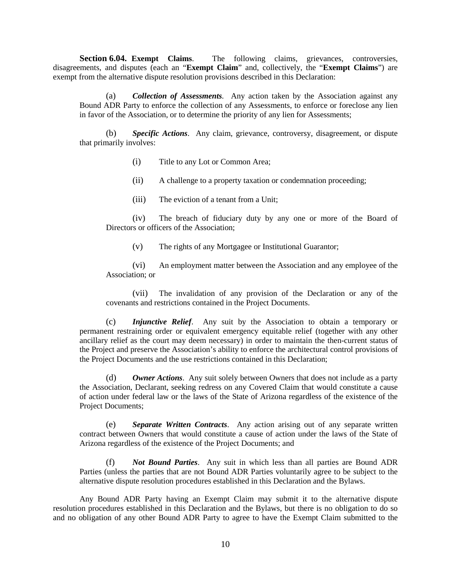Section 6.04. Exempt Claims. The following claims, grievances, controversies, disagreements, and disputes (each an "**Exempt Claim**" and, collectively, the "**Exempt Claims**") are exempt from the alternative dispute resolution provisions described in this Declaration:

(a) *Collection of Assessments*. Any action taken by the Association against any Bound ADR Party to enforce the collection of any Assessments, to enforce or foreclose any lien in favor of the Association, or to determine the priority of any lien for Assessments;

(b) *Specific Actions*. Any claim, grievance, controversy, disagreement, or dispute that primarily involves:

- (i) Title to any Lot or Common Area;
- (ii) A challenge to a property taxation or condemnation proceeding;
- (iii) The eviction of a tenant from a Unit;

(iv) The breach of fiduciary duty by any one or more of the Board of Directors or officers of the Association;

(v) The rights of any Mortgagee or Institutional Guarantor;

(vi) An employment matter between the Association and any employee of the Association; or

(vii) The invalidation of any provision of the Declaration or any of the covenants and restrictions contained in the Project Documents.

(c) *Injunctive Relief*. Any suit by the Association to obtain a temporary or permanent restraining order or equivalent emergency equitable relief (together with any other ancillary relief as the court may deem necessary) in order to maintain the then-current status of the Project and preserve the Association's ability to enforce the architectural control provisions of the Project Documents and the use restrictions contained in this Declaration;

(d) *Owner Actions*. Any suit solely between Owners that does not include as a party the Association, Declarant, seeking redress on any Covered Claim that would constitute a cause of action under federal law or the laws of the State of Arizona regardless of the existence of the Project Documents;

(e) *Separate Written Contracts*. Any action arising out of any separate written contract between Owners that would constitute a cause of action under the laws of the State of Arizona regardless of the existence of the Project Documents; and

(f) *Not Bound Parties*. Any suit in which less than all parties are Bound ADR Parties (unless the parties that are not Bound ADR Parties voluntarily agree to be subject to the alternative dispute resolution procedures established in this Declaration and the Bylaws.

Any Bound ADR Party having an Exempt Claim may submit it to the alternative dispute resolution procedures established in this Declaration and the Bylaws, but there is no obligation to do so and no obligation of any other Bound ADR Party to agree to have the Exempt Claim submitted to the